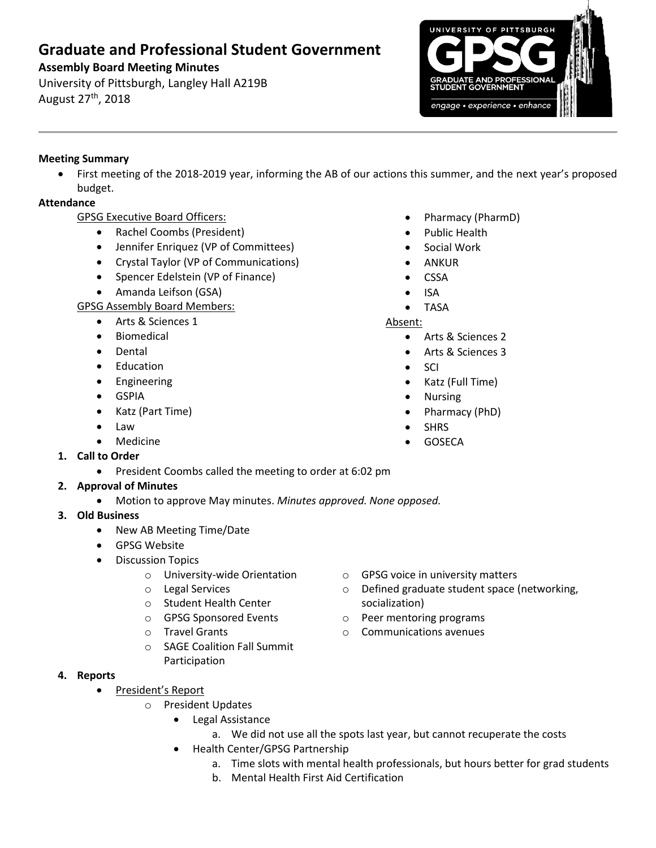# **Graduate and Professional Student Government**

## **Assembly Board Meeting Minutes**

University of Pittsburgh, Langley Hall A219B August 27th, 2018



#### **Meeting Summary**

 First meeting of the 2018-2019 year, informing the AB of our actions this summer, and the next year's proposed budget.

### **Attendance**

- GPSG Executive Board Officers:
	- Rachel Coombs (President)
	- Jennifer Enriquez (VP of Committees)
	- Crystal Taylor (VP of Communications)
	- Spencer Edelstein (VP of Finance)
	- Amanda Leifson (GSA)

GPSG Assembly Board Members:

- Arts & Sciences 1
- **•** Biomedical
- Dental
- Education
- **•** Engineering
- GSPIA
- Katz (Part Time)
- Law
- Medicine
- **1. Call to Order**
	- **•** President Coombs called the meeting to order at 6:02 pm

## **2. Approval of Minutes**

- Motion to approve May minutes. *Minutes approved. None opposed.*
- **3. Old Business**
	- New AB Meeting Time/Date
	- GPSG Website
	- **•** Discussion Topics
		- o University-wide Orientation
		- o Legal Services
		- o Student Health Center
		- o GPSG Sponsored Events
		- o Travel Grants
		- o SAGE Coalition Fall Summit Participation
- **4. Reports** 
	- President's Report
		- o President Updates
			- Legal Assistance
				- a. We did not use all the spots last year, but cannot recuperate the costs
			- Health Center/GPSG Partnership
				- a. Time slots with mental health professionals, but hours better for grad students
				- b. Mental Health First Aid Certification
- Pharmacy (PharmD)
- Public Health
- Social Work
- ANKUR
- CSSA
- ISA
- TASA

#### Absent:

- Arts & Sciences 2
- Arts & Sciences 3
- SCI
- Katz (Full Time)
- Nursing
- Pharmacy (PhD)
- SHRS
- GOSECA

- o GPSG voice in university matters
- o Defined graduate student space (networking, socialization)
- o Peer mentoring programs
- o Communications avenues
- - -
- 
- 
- 
-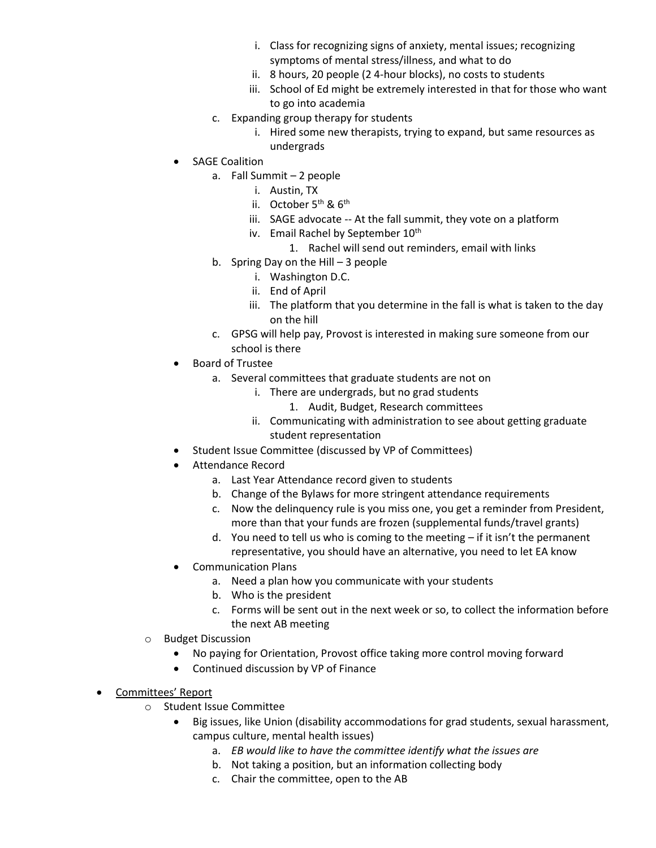- i. Class for recognizing signs of anxiety, mental issues; recognizing symptoms of mental stress/illness, and what to do
- ii. 8 hours, 20 people (2 4-hour blocks), no costs to students
- iii. School of Ed might be extremely interested in that for those who want to go into academia
- c. Expanding group therapy for students
	- i. Hired some new therapists, trying to expand, but same resources as undergrads
- SAGE Coalition
	- a. Fall Summit 2 people
		- i. Austin, TX
		- ii. October  $5<sup>th</sup>$  &  $6<sup>th</sup>$
		- iii. SAGE advocate -- At the fall summit, they vote on a platform
		- iv. Email Rachel by September 10<sup>th</sup>
			- 1. Rachel will send out reminders, email with links
	- b. Spring Day on the Hill 3 people
		- i. Washington D.C.
		- ii. End of April
		- iii. The platform that you determine in the fall is what is taken to the day on the hill
	- c. GPSG will help pay, Provost is interested in making sure someone from our school is there
- Board of Trustee
	- a. Several committees that graduate students are not on
		- i. There are undergrads, but no grad students
			- 1. Audit, Budget, Research committees
		- ii. Communicating with administration to see about getting graduate student representation
- Student Issue Committee (discussed by VP of Committees)
- Attendance Record
	- a. Last Year Attendance record given to students
	- b. Change of the Bylaws for more stringent attendance requirements
	- c. Now the delinquency rule is you miss one, you get a reminder from President, more than that your funds are frozen (supplemental funds/travel grants)
	- d. You need to tell us who is coming to the meeting if it isn't the permanent representative, you should have an alternative, you need to let EA know
- Communication Plans
	- a. Need a plan how you communicate with your students
	- b. Who is the president
	- c. Forms will be sent out in the next week or so, to collect the information before the next AB meeting
- o Budget Discussion
	- No paying for Orientation, Provost office taking more control moving forward
	- Continued discussion by VP of Finance
- Committees' Report
	- o Student Issue Committee
		- Big issues, like Union (disability accommodations for grad students, sexual harassment, campus culture, mental health issues)
			- a. *EB would like to have the committee identify what the issues are*
			- b. Not taking a position, but an information collecting body
			- c. Chair the committee, open to the AB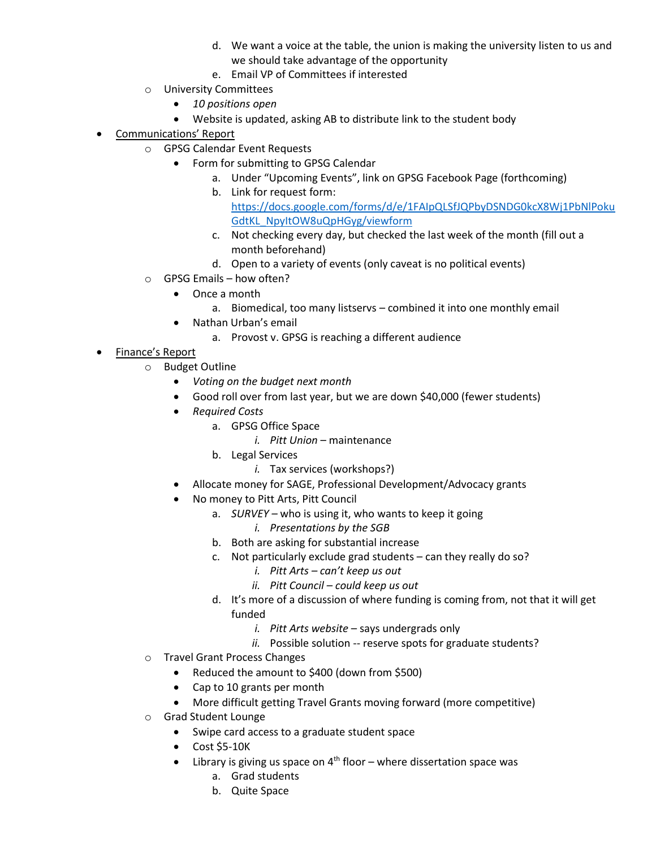- d. We want a voice at the table, the union is making the university listen to us and we should take advantage of the opportunity
- e. Email VP of Committees if interested
- o University Committees
	- *10 positions open*
	- Website is updated, asking AB to distribute link to the student body
- Communications' Report
	- o GPSG Calendar Event Requests
		- Form for submitting to GPSG Calendar
			- a. Under "Upcoming Events", link on GPSG Facebook Page (forthcoming)
			- b. Link for request form:
				- [https://docs.google.com/forms/d/e/1FAIpQLSfJQPbyDSNDG0kcX8Wj1PbNlPoku](https://docs.google.com/forms/d/e/1FAIpQLSfJQPbyDSNDG0kcX8Wj1PbNlPokuGdtKL_NpyItOW8uQpHGyg/viewform) [GdtKL\\_NpyItOW8uQpHGyg/viewform](https://docs.google.com/forms/d/e/1FAIpQLSfJQPbyDSNDG0kcX8Wj1PbNlPokuGdtKL_NpyItOW8uQpHGyg/viewform)
			- c. Not checking every day, but checked the last week of the month (fill out a month beforehand)
			- d. Open to a variety of events (only caveat is no political events)
	- o GPSG Emails how often?
		- Once a month
			- a. Biomedical, too many listservs combined it into one monthly email
		- Nathan Urban's email
			- a. Provost v. GPSG is reaching a different audience
- Finance's Report
	- o Budget Outline
		- *Voting on the budget next month*
		- Good roll over from last year, but we are down \$40,000 (fewer students)
		- *Required Costs*
			- a. GPSG Office Space
				- *i. Pitt Union* maintenance
			- b. Legal Services
				- *i.* Tax services (workshops?)
		- Allocate money for SAGE, Professional Development/Advocacy grants
		- No money to Pitt Arts, Pitt Council
			- a. *SURVEY –* who is using it, who wants to keep it going
				- *i. Presentations by the SGB*
			- b. Both are asking for substantial increase
			- c. Not particularly exclude grad students can they really do so?
				- *i. Pitt Arts – can't keep us out*
				- *ii. Pitt Council – could keep us out*
			- d. It's more of a discussion of where funding is coming from, not that it will get funded
				- *i. Pitt Arts website* says undergrads only
				- *ii.* Possible solution -- reserve spots for graduate students?
	- o Travel Grant Process Changes
		- Reduced the amount to \$400 (down from \$500)
		- Cap to 10 grants per month
		- More difficult getting Travel Grants moving forward (more competitive)
	- o Grad Student Lounge
		- Swipe card access to a graduate student space
		- $\bullet$  Cost \$5-10K
		- $\bullet$  Library is giving us space on 4<sup>th</sup> floor where dissertation space was
			- a. Grad students
			- b. Quite Space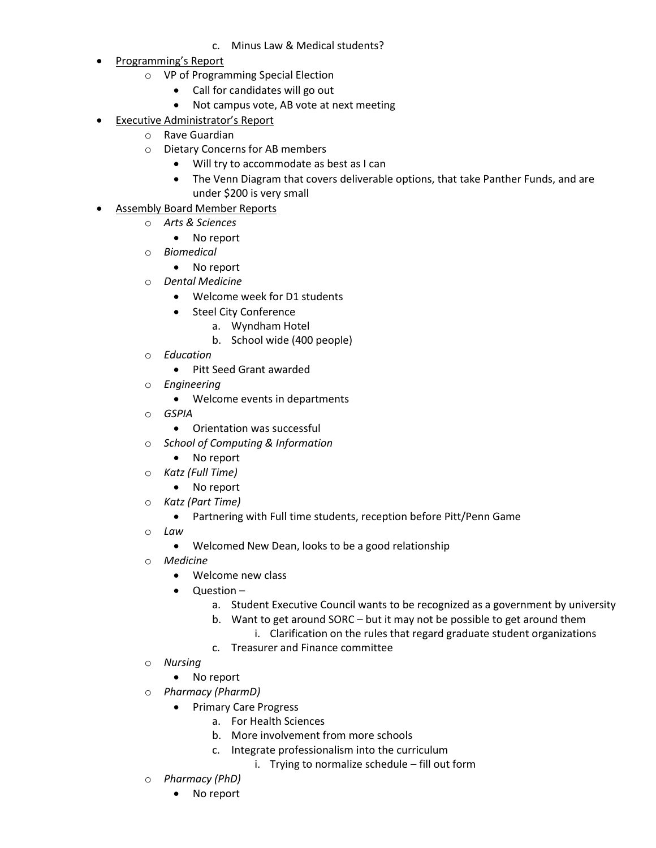- c. Minus Law & Medical students?
- Programming's Report
	- o VP of Programming Special Election
		- Call for candidates will go out
		- Not campus vote, AB vote at next meeting
- Executive Administrator's Report
	- o Rave Guardian
		- o Dietary Concerns for AB members
			- Will try to accommodate as best as I can
			- The Venn Diagram that covers deliverable options, that take Panther Funds, and are under \$200 is very small
	- Assembly Board Member Reports
		- o *Arts & Sciences*
			- No report
		- o *Biomedical*
			- No report
		- o *Dental Medicine*
			- Welcome week for D1 students
			- Steel City Conference
				- a. Wyndham Hotel
				- b. School wide (400 people)
		- o *Education*
			- Pitt Seed Grant awarded
		- o *Engineering*
			- Welcome events in departments
		- o *GSPIA*
			- Orientation was successful
		- o *School of Computing & Information*
			- No report
		- o *Katz (Full Time)*
			- No report
		- o *Katz (Part Time)*
			- Partnering with Full time students, reception before Pitt/Penn Game
		- o *Law*
			- Welcomed New Dean, looks to be a good relationship
		- o *Medicine*
			- Welcome new class
			- Question
				- a. Student Executive Council wants to be recognized as a government by university
				- b. Want to get around SORC but it may not be possible to get around them
					- i. Clarification on the rules that regard graduate student organizations
				- c. Treasurer and Finance committee
		- o *Nursing*
			- No report
		- o *Pharmacy (PharmD)*
			- Primary Care Progress
				- a. For Health Sciences
					- b. More involvement from more schools
					- c. Integrate professionalism into the curriculum
						- i. Trying to normalize schedule fill out form
		- o *Pharmacy (PhD)*
			- No report